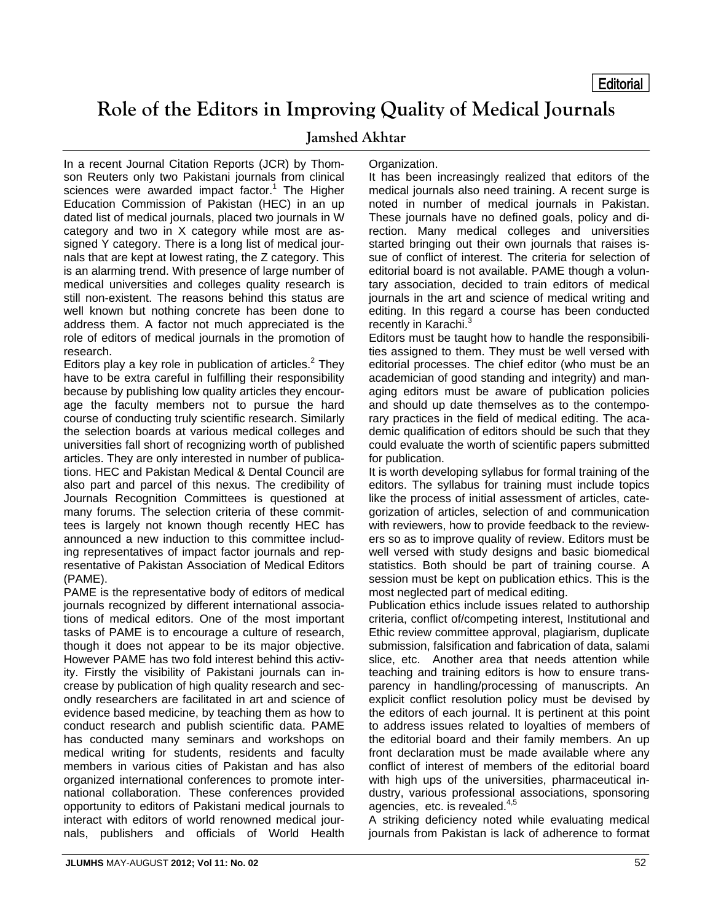## **Role of the Editors in Improving Quality of Medical Journals**

## **Jamshed Akhtar**

In a recent Journal Citation Reports (JCR) by Thomson Reuters only two Pakistani journals from clinical sciences were awarded impact factor.<sup>1</sup> The Higher Education Commission of Pakistan (HEC) in an up dated list of medical journals, placed two journals in W category and two in X category while most are assigned Y category. There is a long list of medical journals that are kept at lowest rating, the Z category. This is an alarming trend. With presence of large number of medical universities and colleges quality research is still non-existent. The reasons behind this status are well known but nothing concrete has been done to address them. A factor not much appreciated is the role of editors of medical journals in the promotion of research.

Editors play a key role in publication of articles. $<sup>2</sup>$  They</sup> have to be extra careful in fulfilling their responsibility because by publishing low quality articles they encourage the faculty members not to pursue the hard course of conducting truly scientific research. Similarly the selection boards at various medical colleges and universities fall short of recognizing worth of published articles. They are only interested in number of publications. HEC and Pakistan Medical & Dental Council are also part and parcel of this nexus. The credibility of Journals Recognition Committees is questioned at many forums. The selection criteria of these committees is largely not known though recently HEC has announced a new induction to this committee including representatives of impact factor journals and representative of Pakistan Association of Medical Editors (PAME).

PAME is the representative body of editors of medical journals recognized by different international associations of medical editors. One of the most important tasks of PAME is to encourage a culture of research, though it does not appear to be its major objective. However PAME has two fold interest behind this activity. Firstly the visibility of Pakistani journals can increase by publication of high quality research and secondly researchers are facilitated in art and science of evidence based medicine, by teaching them as how to conduct research and publish scientific data. PAME has conducted many seminars and workshops on medical writing for students, residents and faculty members in various cities of Pakistan and has also organized international conferences to promote international collaboration. These conferences provided opportunity to editors of Pakistani medical journals to interact with editors of world renowned medical journals, publishers and officials of World Health

## Organization.

It has been increasingly realized that editors of the medical journals also need training. A recent surge is noted in number of medical journals in Pakistan. These journals have no defined goals, policy and direction. Many medical colleges and universities started bringing out their own journals that raises issue of conflict of interest. The criteria for selection of editorial board is not available. PAME though a voluntary association, decided to train editors of medical journals in the art and science of medical writing and editing. In this regard a course has been conducted recently in Karachi.<sup>3</sup>

Editors must be taught how to handle the responsibilities assigned to them. They must be well versed with editorial processes. The chief editor (who must be an academician of good standing and integrity) and managing editors must be aware of publication policies and should up date themselves as to the contemporary practices in the field of medical editing. The academic qualification of editors should be such that they could evaluate the worth of scientific papers submitted for publication.

It is worth developing syllabus for formal training of the editors. The syllabus for training must include topics like the process of initial assessment of articles, categorization of articles, selection of and communication with reviewers, how to provide feedback to the reviewers so as to improve quality of review. Editors must be well versed with study designs and basic biomedical statistics. Both should be part of training course. A session must be kept on publication ethics. This is the most neglected part of medical editing.

Publication ethics include issues related to authorship criteria, conflict of/competing interest, Institutional and Ethic review committee approval, plagiarism, duplicate submission, falsification and fabrication of data, salami slice, etc. Another area that needs attention while teaching and training editors is how to ensure transparency in handling/processing of manuscripts. An explicit conflict resolution policy must be devised by the editors of each journal. It is pertinent at this point to address issues related to loyalties of members of the editorial board and their family members. An up front declaration must be made available where any conflict of interest of members of the editorial board with high ups of the universities, pharmaceutical industry, various professional associations, sponsoring agencies, etc. is revealed.<sup>4,5</sup>

A striking deficiency noted while evaluating medical journals from Pakistan is lack of adherence to format